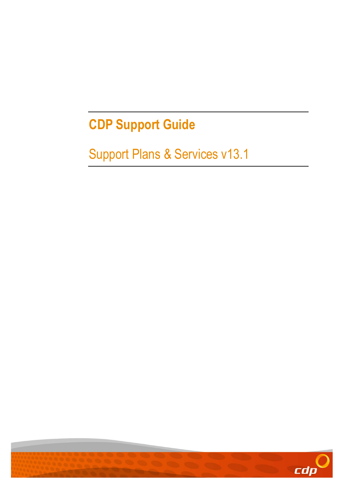# CDP Support Guide

# Support Plans & Services v13.1

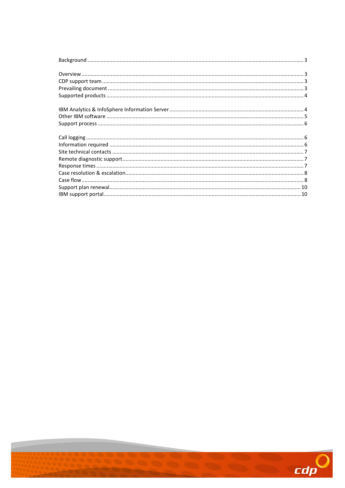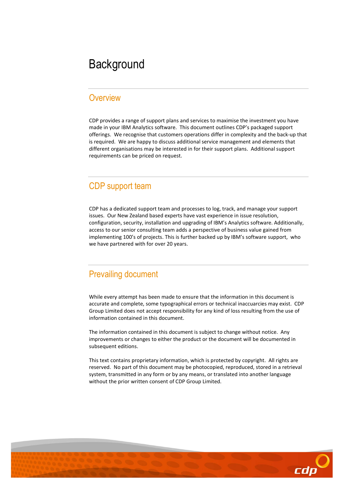## **Background**

#### **Overview**

CDP provides a range of support plans and services to maximise the investment you have made in your IBM Analytics software. This document outlines CDP's packaged support offerings. We recognise that customers operations differ in complexity and the back-up that is required. We are happy to discuss additional service management and elements that different organisations may be interested in for their support plans. Additional support requirements can be priced on request.

#### CDP support team

CDP has a dedicated support team and processes to log, track, and manage your support issues. Our New Zealand based experts have vast experience in issue resolution, configuration, security, installation and upgrading of IBM's Analytics software. Additionally, access to our senior consulting team adds a perspective of business value gained from implementing 100's of projects. This is further backed up by IBM's software support, who we have partnered with for over 20 years.

#### Prevailing document

While every attempt has been made to ensure that the information in this document is accurate and complete, some typographical errors or technical inaccuarcies may exist. CDP Group Limited does not accept responsibility for any kind of loss resulting from the use of information contained in this document.

The information contained in this document is subject to change without notice. Any improvements or changes to either the product or the document will be documented in subsequent editions.

This text contains proprietary information, which is protected by copyright. All rights are reserved. No part of this document may be photocopied, reproduced, stored in a retrieval system, transmitted in any form or by any means, or translated into another language without the prior written consent of CDP Group Limited.

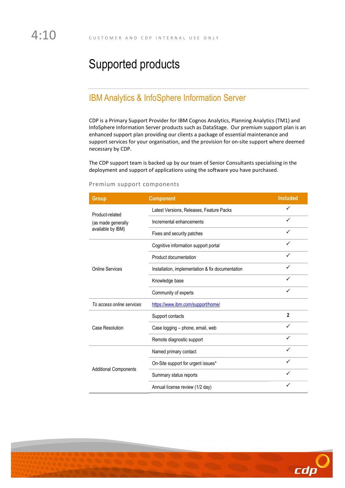# Supported products

### IBM Analytics & InfoSphere Information Server

CDP is a Primary Support Provider for IBM Cognos Analytics, Planning Analytics (TM1) and InfoSphere Information Server products such as DataStage. Our premium support plan is an enhanced support plan providing our clients a package of essential maintenance and support services for your organisation, and the provision for on-site support where deemed necessary by CDP.

The CDP support team is backed up by our team of Senior Consultants specialising in the deployment and support of applications using the software you have purchased.

| Group                                                      | <b>Component</b>                                 | <b>Included</b> |
|------------------------------------------------------------|--------------------------------------------------|-----------------|
| Product-related<br>(as made generally<br>available by IBM) | Latest Versions, Releases, Feature Packs         |                 |
|                                                            | Incremental enhancements                         |                 |
|                                                            | Fixes and security patches                       | ✓               |
| <b>Online Services</b>                                     | Cognitive information support portal             | ✓               |
|                                                            | Product documentation                            | ✓               |
|                                                            | Installation, implementation & fix documentation |                 |
|                                                            | Knowledge base                                   | $\checkmark$    |
|                                                            | Community of experts                             | ✓               |
| To access online services                                  | https://www.ibm.com/support/home/                |                 |
| Case Resolution                                            | Support contacts                                 | $\mathbf{2}$    |
|                                                            | Case logging - phone, email, web                 | ✓               |
|                                                            | Remote diagnostic support                        | $\checkmark$    |
| <b>Additional Components</b>                               | Named primary contact                            | ✓               |
|                                                            | On-Site support for urgent issues*               | ✓               |
|                                                            | Summary status reports                           |                 |
|                                                            | Annual license review (1/2 day)                  | ✓               |

#### Premium support components

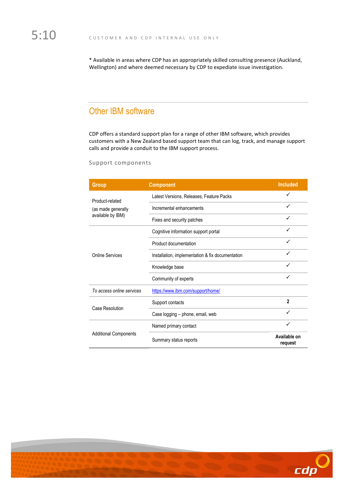\* Available in areas where CDP has an appropriately skilled consulting presence (Auckland, Wellington) and where deemed necessary by CDP to expediate issue investigation.

## Other IBM software

CDP offers a standard support plan for a range of other IBM software, which provides customers with a New Zealand based support team that can log, track, and manage support calls and provide a conduit to the IBM support process.

| <b>Group</b>                                               | <b>Component</b>                                 | <b>Included</b>         |
|------------------------------------------------------------|--------------------------------------------------|-------------------------|
| Product-related<br>(as made generally<br>available by IBM) | Latest Versions, Releases, Feature Packs         | ✓                       |
|                                                            | Incremental enhancements                         | ✓                       |
|                                                            | Fixes and security patches                       |                         |
| Online Services                                            | Cognitive information support portal             | ✓                       |
|                                                            | Product documentation                            |                         |
|                                                            | Installation, implementation & fix documentation | ✓                       |
|                                                            | Knowledge base                                   | ✓                       |
|                                                            | Community of experts                             |                         |
| To access online services                                  | https://www.ibm.com/support/home/                |                         |
| Case Resolution                                            | Support contacts                                 | $\overline{2}$          |
|                                                            | Case logging - phone, email, web                 |                         |
| <b>Additional Components</b>                               | Named primary contact                            | ✓                       |
|                                                            | Summary status reports                           | Available on<br>request |

#### Support components

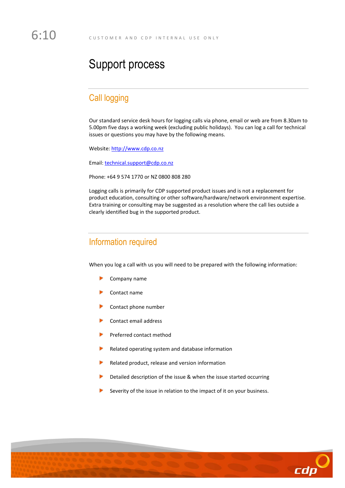## Support process

#### Call logging

Our standard service desk hours for logging calls via phone, email or web are from 8.30am to 5.00pm five days a working week (excluding public holidays). You can log a call for technical issues or questions you may have by the following means.

Website: http://www.cdp.co.nz

Email: technical.support@cdp.co.nz

Phone: +64 9 574 1770 or NZ 0800 808 280

Logging calls is primarily for CDP supported product issues and is not a replacement for product education, consulting or other software/hardware/network environment expertise. Extra training or consulting may be suggested as a resolution where the call lies outside a clearly identified bug in the supported product.

#### Information required

When you log a call with us you will need to be prepared with the following information:

- Company name
- Contact name
- Contact phone number
- Contact email address
- Preferred contact method
- Related operating system and database information
- Related product, release and version information
- Detailed description of the issue & when the issue started occurring
- Severity of the issue in relation to the impact of it on your business.

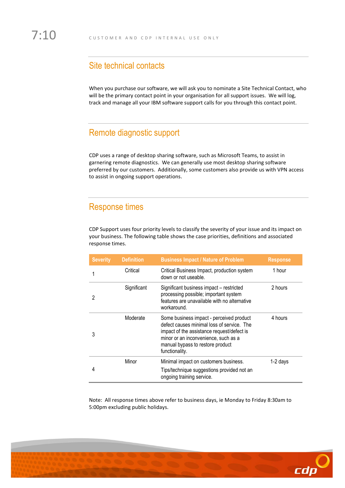#### Site technical contacts

When you purchase our software, we will ask you to nominate a Site Technical Contact, who will be the primary contact point in your organisation for all support issues. We will log, track and manage all your IBM software support calls for you through this contact point.

### Remote diagnostic support

CDP uses a range of desktop sharing software, such as Microsoft Teams, to assist in garnering remote diagnostics. We can generally use most desktop sharing software preferred by our customers. Additionally, some customers also provide us with VPN access to assist in ongoing support operations.

#### Response times

CDP Support uses four priority levels to classify the severity of your issue and its impact on your business. The following table shows the case priorities, definitions and associated response times.

| <b>Severity</b> | <b>Definition</b> | <b>Business Impact / Nature of Problem</b>                                                                                                                                                                                         | <b>Response</b> |
|-----------------|-------------------|------------------------------------------------------------------------------------------------------------------------------------------------------------------------------------------------------------------------------------|-----------------|
|                 | Critical          | Critical Business Impact, production system<br>down or not useable.                                                                                                                                                                | 1 hour          |
|                 | Significant       | Significant business impact - restricted<br>processing possible; important system<br>features are unavailable with no alternative<br>workaround.                                                                                   | 2 hours         |
|                 | Moderate          | Some business impact - perceived product<br>defect causes minimal loss of service. The<br>impact of the assistance request/defect is<br>minor or an inconvenience, such as a<br>manual bypass to restore product<br>functionality. | 4 hours         |
|                 | Minor             | Minimal impact on customers business.<br>Tips/technique suggestions provided not an<br>ongoing training service.                                                                                                                   | 1-2 days        |

Note: All response times above refer to business days, ie Monday to Friday 8:30am to 5:00pm excluding public holidays.

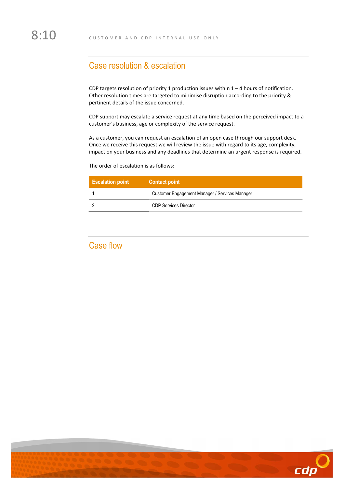#### Case resolution & escalation

CDP targets resolution of priority 1 production issues within 1 – 4 hours of notification. Other resolution times are targeted to minimise disruption according to the priority & pertinent details of the issue concerned.

CDP support may escalate a service request at any time based on the perceived impact to a customer's business, age or complexity of the service request.

As a customer, you can request an escalation of an open case through our support desk. Once we receive this request we will review the issue with regard to its age, complexity, impact on your business and any deadlines that determine an urgent response is required.

The order of escalation is as follows:

| <b>Escalation point</b> | <b>Contact point</b>                           |
|-------------------------|------------------------------------------------|
|                         | Customer Engagement Manager / Services Manager |
|                         | <b>CDP Services Director</b>                   |

#### Case flow

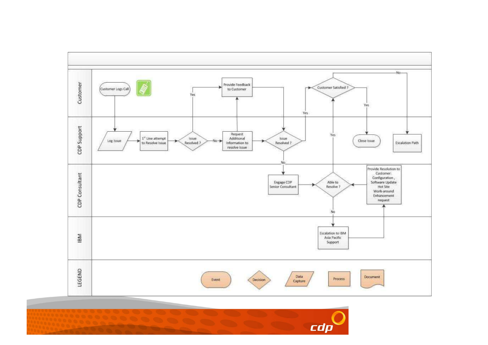